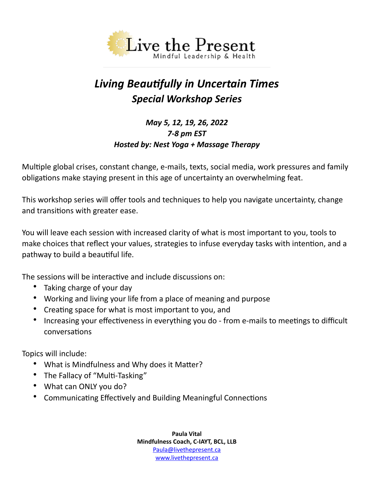

# *Living Beautifully in Uncertain Times Special Workshop Series*

## *May 5, 12, 19, 26, 2022 7-8 pm EST Hosted by: Nest Yoga + Massage Therapy*

Multiple global crises, constant change, e-mails, texts, social media, work pressures and family obligations make staying present in this age of uncertainty an overwhelming feat.

This workshop series will offer tools and techniques to help you navigate uncertainty, change and transitions with greater ease.

You will leave each session with increased clarity of what is most important to you, tools to make choices that reflect your values, strategies to infuse everyday tasks with intention, and a pathway to build a beautiful life.

The sessions will be interactive and include discussions on:

- Taking charge of your day
- Working and living your life from a place of meaning and purpose
- Creating space for what is most important to you, and
- Increasing your effectiveness in everything you do from e-mails to meetings to difficult conversations

Topics will include:

- What is Mindfulness and Why does it Matter?
- The Fallacy of "Multi-Tasking"
- What can ONLY you do?
- Communicating Effectively and Building Meaningful Connections

**Paula Vital Mindfulness Coach, C-IAYT, BCL, LLB** [Paula@livethepresent.ca](mailto:Paula@livethepresent.ca) www.livethepresent.ca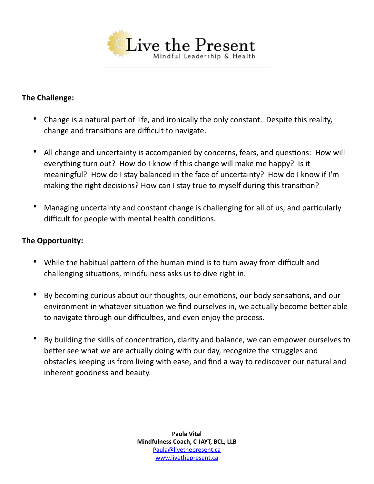

### **The Challenge:**

- Change is a natural part of life, and ironically the only constant. Despite this reality, change and transitions are difficult to navigate.
- All change and uncertainty is accompanied by concerns, fears, and questions: How will everything turn out? How do I know if this change will make me happy? Is it meaningful? How do I stay balanced in the face of uncertainty? How do I know if I'm making the right decisions? How can I stay true to myself during this transition?
- Managing uncertainty and constant change is challenging for all of us, and particularly difficult for people with mental health conditions.

#### **The Opportunity:**

- While the habitual pattern of the human mind is to turn away from difficult and challenging situations, mindfulness asks us to dive right in.
- By becoming curious about our thoughts, our emotions, our body sensations, and our environment in whatever situation we find ourselves in, we actually become better able to navigate through our difficulties, and even enjoy the process.
- By building the skills of concentration, clarity and balance, we can empower ourselves to better see what we are actually doing with our day, recognize the struggles and obstacles keeping us from living with ease, and find a way to rediscover our natural and inherent goodness and beauty.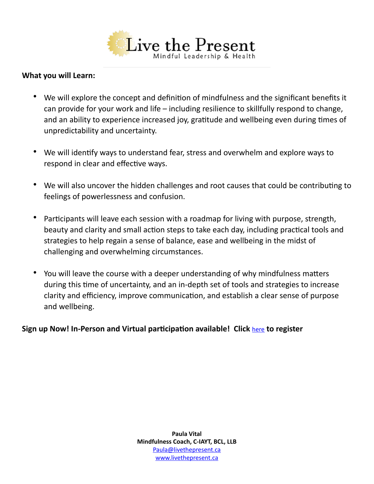

#### **What you will Learn:**

- We will explore the concept and definition of mindfulness and the significant benefits it can provide for your work and life – including resilience to skillfully respond to change, and an ability to experience increased joy, gratitude and wellbeing even during times of unpredictability and uncertainty.
- We will identify ways to understand fear, stress and overwhelm and explore ways to respond in clear and effective ways.
- We will also uncover the hidden challenges and root causes that could be contributing to feelings of powerlessness and confusion.
- Participants will leave each session with a roadmap for living with purpose, strength, beauty and clarity and small action steps to take each day, including practical tools and strategies to help regain a sense of balance, ease and wellbeing in the midst of challenging and overwhelming circumstances.
- You will leave the course with a deeper understanding of why mindfulness matters during this time of uncertainty, and an in-depth set of tools and strategies to increase clarity and efficiency, improve communication, and establish a clear sense of purpose and wellbeing.

**Sign up Now! In-Person and Virtual participation available! Click** [here](https://nestymt.janeapp.com/locations/nest-yoga-massage/book#/classes-and-workshops) **to register**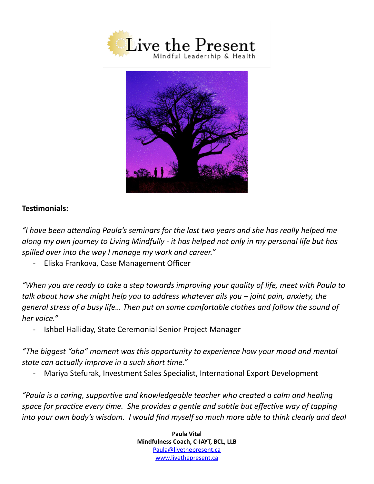



#### **Testimonials:**

*"I have been attending Paula's seminars for the last two years and she has really helped me along my own journey to Living Mindfully - it has helped not only in my personal life but has spilled over into the way I manage my work and career."*

- Eliska Frankova, Case Management Officer

*"When you are ready to take a step towards improving your quality of life, meet with Paula to talk about how she might help you to address whatever ails you – joint pain, anxiety, the general stress of a busy life… Then put on some comfortable clothes and follow the sound of her voice."*

- Ishbel Halliday, State Ceremonial Senior Project Manager

*"The biggest "aha" moment was this opportunity to experience how your mood and mental state can actually improve in a such short time."*

- Mariya Stefurak, Investment Sales Specialist, International Export Development

*"Paula is a caring, supportive and knowledgeable teacher who created a calm and healing space for practice every time. She provides a gentle and subtle but effective way of tapping into your own body's wisdom. I would find myself so much more able to think clearly and deal* 

> **Paula Vital Mindfulness Coach, C-IAYT, BCL, LLB** [Paula@livethepresent.ca](mailto:Paula@livethepresent.ca) www.livethepresent.ca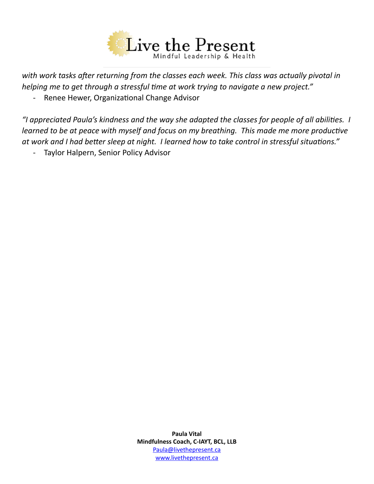

*with work tasks after returning from the classes each week. This class was actually pivotal in helping me to get through a stressful time at work trying to navigate a new project."*

- Renee Hewer, Organizational Change Advisor

*"I appreciated Paula's kindness and the way she adapted the classes for people of all abilities. I learned to be at peace with myself and focus on my breathing. This made me more productive at work and I had better sleep at night. I learned how to take control in stressful situations."*

- Taylor Halpern, Senior Policy Advisor